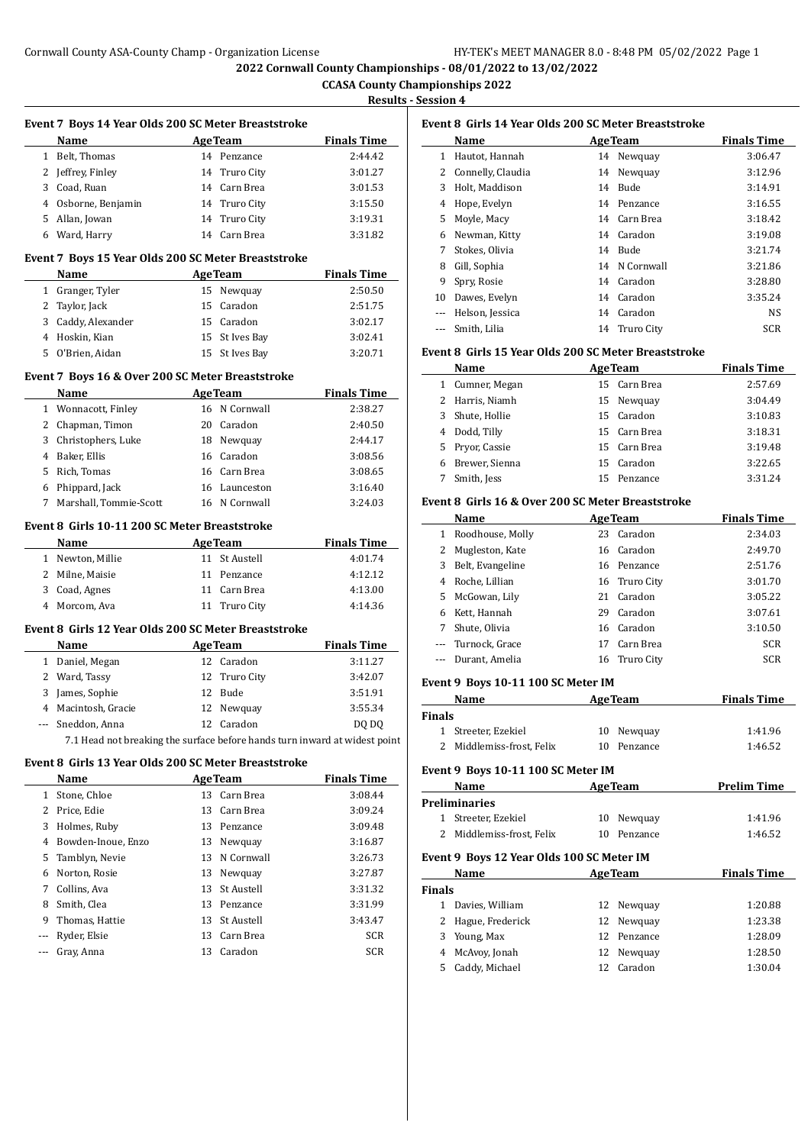**CCASA County Championships 2022 Results - Session 4** 

|       | Event 7 Boys 14 Year Olds 200 SC Meter Breaststroke                        |                                 |                               | Event 8 G               |
|-------|----------------------------------------------------------------------------|---------------------------------|-------------------------------|-------------------------|
|       | Name<br>the control of the control of the                                  | <b>AgeTeam</b>                  | <b>Finals Time</b>            | Nai                     |
|       | 1 Belt, Thomas                                                             | 14 Penzance                     | 2:44.42                       | 1 Hau                   |
|       | 2 Jeffrey, Finley                                                          | 14 Truro City                   | 3:01.27                       | 2 Con                   |
|       | 3 Coad, Ruan                                                               | 14 Carn Brea                    | 3:01.53                       | Hol<br>3                |
|       | 4 Osborne, Benjamin                                                        | 14 Truro City                   | 3:15.50                       | 4<br>Hop                |
|       | 5 Allan, Jowan                                                             | 14 Truro City                   | 3:19.31                       | 5<br>Moy                |
|       | 6 Ward, Harry                                                              | 14 Carn Brea                    | 3:31.82                       | 6<br>Nev                |
|       | Event 7 Boys 15 Year Olds 200 SC Meter Breaststroke                        |                                 |                               | 7<br>Stol<br>8<br>Gill, |
|       | Name                                                                       | <b>AgeTeam</b>                  | <b>Finals Time</b>            | 9<br>Spr <sub>3</sub>   |
|       | 1 Granger, Tyler                                                           | 15 Newquay                      | 2:50.50                       | 10 Dav                  |
|       | 2 Taylor, Jack                                                             | 15 Caradon                      | 2:51.75                       | --- Hel:                |
|       | 3 Caddy, Alexander                                                         | 15 Caradon                      | 3:02.17                       | Smi                     |
|       | 4 Hoskin, Kian                                                             | 15 St Ives Bay                  | 3:02.41                       |                         |
|       | 5 O'Brien, Aidan                                                           | 15 St Ives Bay                  | 3:20.71                       | Event 8 G               |
|       | Event 7 Boys 16 & Over 200 SC Meter Breaststroke                           |                                 |                               | Nai                     |
|       | Name                                                                       | <b>AgeTeam</b>                  | <b>Finals Time</b>            | 1 Cun                   |
|       | 1 Wonnacott, Finley                                                        | 16 N Cornwall                   | 2:38.27                       | $\mathbf{2}$<br>Har     |
|       | 2 Chapman, Timon                                                           | 20 Caradon                      | 2:40.50                       | 3<br>Shu                |
|       | 3 Christophers, Luke                                                       | 18 Newquay                      | 2:44.17                       | 4<br>Dod                |
|       | 4 Baker, Ellis                                                             | 16 Caradon                      | 3:08.56                       | 5<br>Pry                |
|       | 5 Rich, Tomas                                                              | 16 Carn Brea                    | 3:08.65                       | 6<br><b>Bre</b>         |
|       | 6 Phippard, Jack                                                           | 16 Launceston                   | 3:16.40                       | 7 Smi                   |
|       | 7 Marshall, Tommie-Scott                                                   | 16 N Cornwall                   | 3:24.03                       | Event 8 G               |
|       | Event 8 Girls 10-11 200 SC Meter Breaststroke                              |                                 |                               | <b>Nai</b>              |
|       | Name                                                                       |                                 |                               | 1 Roo                   |
|       |                                                                            | <b>AgeTeam</b><br>11 St Austell | <b>Finals Time</b><br>4:01.74 | $2$ Mug                 |
|       | 1 Newton, Millie<br>2 Milne, Maisie                                        | 11 Penzance                     | 4:12.12                       | 3<br>Belt               |
|       | 3 Coad, Agnes                                                              | 11 Carn Brea                    | 4:13.00                       | 4<br>Roc                |
|       | 4 Morcom, Ava                                                              | 11 Truro City                   | 4:14.36                       | 5<br>Mc(                |
|       |                                                                            |                                 |                               | 6<br>Ket                |
|       | Event 8 Girls 12 Year Olds 200 SC Meter Breaststroke                       |                                 |                               | 7<br>Shu                |
|       | Name                                                                       | AgeTeam                         | <b>Finals Time</b>            | Tur                     |
|       | 1 Daniel, Megan                                                            | 12 Caradon                      | 3:11.27                       | Dur                     |
|       | 2 Ward, Tassy                                                              | 12 Truro City                   | 3:42.07                       |                         |
|       |                                                                            |                                 |                               | Event 9 E               |
|       | 3 James, Sophie                                                            | 12 Bude                         | 3:51.91                       | Nai                     |
|       | 4 Macintosh, Gracie                                                        | 12 Newquay                      | 3:55.34                       | <b>Finals</b>           |
| $---$ | Sneddon, Anna                                                              | 12 Caradon                      | DQ DQ                         | $1$ Stre                |
|       | 7.1 Head not breaking the surface before hands turn inward at widest point |                                 |                               | 2 Mid                   |
|       | Event 8 Girls 13 Year Olds 200 SC Meter Breaststroke                       |                                 |                               | Event 9 E               |
|       | Name                                                                       | <b>AgeTeam</b>                  | <b>Finals Time</b>            | Nai                     |
|       | 1 Stone, Chloe                                                             | 13 Carn Brea                    | 3:08.44                       | Prelimina               |
|       | 2 Price, Edie                                                              | 13 Carn Brea                    | 3:09.24                       | 1 Stre                  |
|       | 3 Holmes, Ruby                                                             | 13 Penzance                     | 3:09.48                       | Mid<br>2                |
|       | 4 Bowden-Inoue, Enzo                                                       | 13 Newquay                      | 3:16.87                       |                         |
|       | 5 Tamblyn, Nevie                                                           | 13 N Cornwall                   | 3:26.73                       | Event 9 E               |
|       | 6 Norton, Rosie                                                            | 13 Newquay                      | 3:27.87                       | Nai                     |
|       | 7 Collins, Ava                                                             | 13 St Austell                   | 3:31.32                       | Finals                  |
|       | 8 Smith, Clea                                                              | 13 Penzance                     | 3:31.99                       | 1 Dav                   |
| 9     | Thomas, Hattie                                                             | 13 St Austell                   | 3:43.47                       | 2 Hag                   |
| ---   | Ryder, Elsie<br>Gray, Anna                                                 | 13 Carn Brea<br>13 Caradon      | SCR<br>SCR                    | 3<br>You<br>4 Mc/       |

## **Event 8 Girls 14 Year Olds 200 SC Meter Breaststroke**

|    | Name                | <b>AgeTeam</b> | <b>Finals Time</b> |
|----|---------------------|----------------|--------------------|
| 1  | Hautot, Hannah      | 14 Newquay     | 3:06.47            |
|    | 2 Connelly, Claudia | 14 Newquay     | 3:12.96            |
| 3  | Holt, Maddison      | 14 Bude        | 3:14.91            |
| 4  | Hope, Evelyn        | 14 Penzance    | 3:16.55            |
| 5. | Moyle, Macy         | 14 Carn Brea   | 3:18.42            |
| 6  | Newman, Kitty       | 14 Caradon     | 3:19.08            |
| 7  | Stokes, Olivia      | 14 Bude        | 3:21.74            |
| 8  | Gill, Sophia        | 14 N Cornwall  | 3:21.86            |
| 9  | Spry, Rosie         | 14 Caradon     | 3:28.80            |
| 10 | Dawes, Evelyn       | 14 Caradon     | 3:35.24            |
|    | Helson, Jessica     | 14 Caradon     | <b>NS</b>          |
|    | Smith, Lilia        | 14 Truro City  | <b>SCR</b>         |

### **Event 8 Girls 15 Year Olds 200 SC Meter Breaststroke**

|   | Name           | <b>AgeTeam</b>  | <b>Finals Time</b> |
|---|----------------|-----------------|--------------------|
| 1 | Cumner, Megan  | 15 Carn Brea    | 2:57.69            |
| 2 | Harris, Niamh  | 15 Newquay      | 3:04.49            |
| 3 | Shute, Hollie  | 15 Caradon      | 3:10.83            |
| 4 | Dodd, Tilly    | 15 Carn Brea    | 3:18.31            |
| 5 | Prvor, Cassie  | 15 Carn Brea    | 3:19.48            |
| 6 | Brewer, Sienna | 15 Caradon      | 3:22.65            |
|   | Smith, Jess    | Penzance<br>15. | 3:31.24            |

#### **Event 8 Girls 16 & Over 200 SC Meter Breaststroke**

|    | Name               |    | <b>AgeTeam</b> | <b>Finals Time</b> |
|----|--------------------|----|----------------|--------------------|
| 1  | Roodhouse, Molly   | 23 | Caradon        | 2:34.03            |
| 2  | Mugleston, Kate    |    | 16 Caradon     | 2:49.70            |
| 3  | Belt, Evangeline   |    | 16 Penzance    | 2:51.76            |
| 4  | Roche, Lillian     |    | 16 Truro City  | 3:01.70            |
| 5. | McGowan, Lily      | 21 | Caradon        | 3:05.22            |
| 6  | Kett, Hannah       | 29 | Caradon        | 3:07.61            |
| 7  | Shute, Olivia      |    | 16 Caradon     | 3:10.50            |
|    | --- Turnock, Grace | 17 | Carn Brea      | <b>SCR</b>         |
|    | Durant, Amelia     | 16 | Truro City     | <b>SCR</b>         |
|    |                    |    |                |                    |

#### **Event 9 Boys 10-11 100 SC Meter IM**

| <b>AgeTeam</b><br>Name    |             | <b>Finals Time</b> |
|---------------------------|-------------|--------------------|
| Finals                    |             |                    |
| 1 Streeter, Ezekiel       | 10 Newguay  | 1:41.96            |
| 2 Middlemiss-frost, Felix | 10 Penzance | 1:46.52            |

#### **Event 9 Boys 10-11 100 SC Meter IM**

|        | <b>Name</b>                               | <b>AgeTeam</b> |                | <b>Prelim Time</b> |  |  |
|--------|-------------------------------------------|----------------|----------------|--------------------|--|--|
|        | Preliminaries                             |                |                |                    |  |  |
| 1      | Streeter, Ezekiel                         | 10             | Newquay        | 1:41.96            |  |  |
| 2      | Middlemiss-frost. Felix                   |                | 10 Penzance    | 1:46.52            |  |  |
|        | Event 9 Boys 12 Year Olds 100 SC Meter IM |                |                |                    |  |  |
|        | <b>Name</b>                               |                | <b>AgeTeam</b> | <b>Finals Time</b> |  |  |
| Finals |                                           |                |                |                    |  |  |
|        | Davies. William                           | 12             | Newguay        | 1:20.88            |  |  |
|        | Hague, Frederick                          | 12             | Newguay        | 1:23.38            |  |  |
|        |                                           |                |                |                    |  |  |
| 3      | Young, Max                                | 12.            | Penzance       | 1:28.09            |  |  |

| 4 McAvoy, Jonah  | 12 Newquay | 1:28.50 |
|------------------|------------|---------|
| 5 Caddy, Michael | 12 Caradon | 1:30.04 |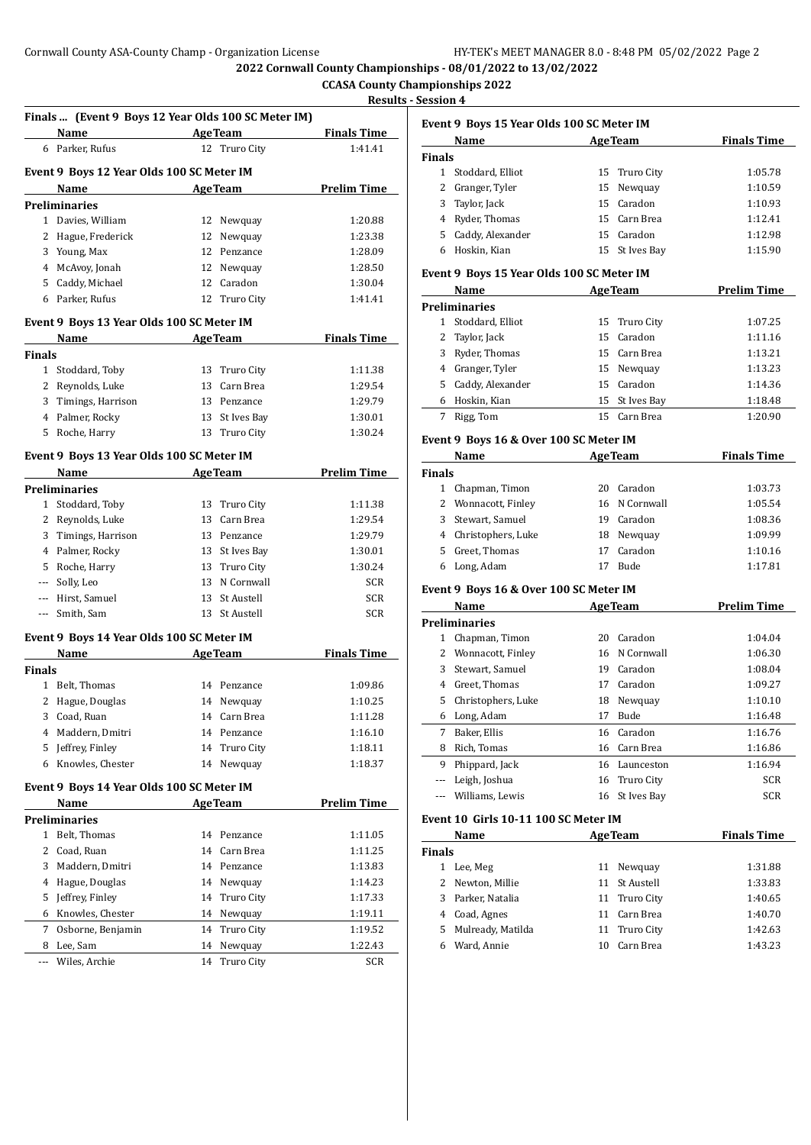#### **CCASA County Championships 2022 Results - Session 4**

|                                                                                                | Finals  (Event 9 Boys 12 Year Olds 100 SC Meter IM) |    |                | <b>Result</b>      |
|------------------------------------------------------------------------------------------------|-----------------------------------------------------|----|----------------|--------------------|
|                                                                                                | <b>Example 21 Age Team</b><br>Name                  |    |                | <b>Finals Time</b> |
|                                                                                                | 6 Parker, Rufus                                     |    | 12 Truro City  | 1:41.41            |
|                                                                                                | Event 9 Boys 12 Year Olds 100 SC Meter IM           |    |                |                    |
|                                                                                                | Name                                                |    | <b>AgeTeam</b> | <b>Prelim Time</b> |
|                                                                                                | <b>Preliminaries</b>                                |    |                |                    |
|                                                                                                | 1 Davies, William                                   |    | 12 Newquay     | 1:20.88            |
| 2                                                                                              | Hague, Frederick                                    |    | 12 Newquay     | 1:23.38            |
|                                                                                                | 3 Young, Max                                        |    | 12 Penzance    | 1:28.09            |
|                                                                                                | 4 McAvoy, Jonah                                     |    | 12 Newquay     | 1:28.50            |
|                                                                                                | 5 Caddy, Michael                                    |    | 12 Caradon     | 1:30.04            |
|                                                                                                | 6 Parker, Rufus                                     |    | 12 Truro City  | 1:41.41            |
|                                                                                                | Event 9 Boys 13 Year Olds 100 SC Meter IM           |    |                |                    |
|                                                                                                | Name                                                |    | <b>AgeTeam</b> | <b>Finals Time</b> |
| Finals                                                                                         |                                                     |    |                |                    |
|                                                                                                | 1 Stoddard, Toby                                    |    | 13 Truro City  | 1:11.38            |
|                                                                                                | 2 Reynolds, Luke                                    |    | 13 Carn Brea   | 1:29.54            |
| 3                                                                                              | Timings, Harrison                                   |    | 13 Penzance    | 1:29.79            |
|                                                                                                | 4 Palmer, Rocky                                     |    | 13 St Ives Bay | 1:30.01            |
|                                                                                                | 5 Roche, Harry                                      |    | 13 Truro City  | 1:30.24            |
|                                                                                                | Event 9 Boys 13 Year Olds 100 SC Meter IM           |    |                |                    |
|                                                                                                | Name                                                |    | <b>AgeTeam</b> | <b>Prelim Time</b> |
|                                                                                                | Preliminaries                                       |    |                |                    |
|                                                                                                | 1 Stoddard, Toby                                    |    | 13 Truro City  | 1:11.38            |
|                                                                                                | 2 Reynolds, Luke                                    |    | 13 Carn Brea   | 1:29.54            |
| 3                                                                                              | Timings, Harrison                                   |    | 13 Penzance    | 1:29.79            |
|                                                                                                | 4 Palmer, Rocky                                     |    | 13 St Ives Bay | 1:30.01            |
|                                                                                                | 5 Roche, Harry                                      |    | 13 Truro City  | 1:30.24            |
|                                                                                                | --- Solly, Leo                                      |    | 13 N Cornwall  | SCR                |
|                                                                                                | --- Hirst, Samuel                                   | 13 | St Austell     | SCR                |
| $\frac{1}{2} \left( \frac{1}{2} \right) \left( \frac{1}{2} \right) \left( \frac{1}{2} \right)$ | Smith, Sam                                          |    | 13 St Austell  | <b>SCR</b>         |
|                                                                                                | Event 9 Boys 14 Year Olds 100 SC Meter IM           |    |                |                    |
|                                                                                                | Name                                                |    | AgeTeam        | <b>Finals Time</b> |
| Finals                                                                                         |                                                     |    |                |                    |
| 1                                                                                              | Belt, Thomas                                        |    | 14 Penzance    | 1:09.86            |
| 2                                                                                              | Hague, Douglas                                      | 14 | Newquay        | 1:10.25            |
| 3                                                                                              | Coad, Ruan                                          |    | 14 Carn Brea   | 1:11.28            |
| 4                                                                                              | Maddern, Dmitri                                     |    | 14 Penzance    | 1:16.10            |
| 5                                                                                              | Jeffrey, Finley                                     | 14 | Truro City     | 1:18.11            |
| 6                                                                                              | Knowles, Chester                                    | 14 | Newquay        | 1:18.37            |
|                                                                                                | Event 9 Boys 14 Year Olds 100 SC Meter IM           |    |                |                    |
|                                                                                                | Name                                                |    | <b>AgeTeam</b> | <u>Prelim Time</u> |
|                                                                                                | Preliminaries                                       |    |                |                    |
| 1                                                                                              | Belt, Thomas                                        | 14 | Penzance       | 1:11.05            |
| 2                                                                                              | Coad, Ruan                                          | 14 | Carn Brea      | 1:11.25            |
| 3                                                                                              | Maddern, Dmitri                                     |    | 14 Penzance    | 1:13.83            |
| 4                                                                                              | Hague, Douglas                                      | 14 | Newquay        | 1:14.23            |
| 5                                                                                              | Jeffrey, Finley                                     | 14 | Truro City     | 1:17.33            |
| 6                                                                                              | Knowles, Chester                                    | 14 | Newquay        | 1:19.11            |
| 7                                                                                              | Osborne, Benjamin                                   | 14 | Truro City     | 1:19.52            |
|                                                                                                | Lee, Sam                                            | 14 | Newquay        | 1:22.43            |
| 8                                                                                              |                                                     |    |                |                    |

|               | Event 9 Boys 15 Year Olds 100 SC Meter IM    |    |               |         |  |  |  |  |
|---------------|----------------------------------------------|----|---------------|---------|--|--|--|--|
|               | <b>Finals Time</b><br>Name<br><b>AgeTeam</b> |    |               |         |  |  |  |  |
| <b>Finals</b> |                                              |    |               |         |  |  |  |  |
|               | 1 Stoddard, Elliot                           |    | 15 Truro City | 1:05.78 |  |  |  |  |
| 2             | Granger, Tyler                               |    | 15 Newquay    | 1:10.59 |  |  |  |  |
| 3             | Taylor, Jack                                 |    | 15 Caradon    | 1:10.93 |  |  |  |  |
| 4             | Ryder, Thomas                                |    | 15 Carn Brea  | 1:12.41 |  |  |  |  |
| 5.            | Caddy, Alexander                             | 15 | Caradon       | 1:12.98 |  |  |  |  |

#### **Event 9 Boys 15 Year Olds 100 SC Meter IM**

|    | Name                 | <b>AgeTeam</b> |                | <b>Prelim Time</b> |
|----|----------------------|----------------|----------------|--------------------|
|    | <b>Preliminaries</b> |                |                |                    |
|    | Stoddard, Elliot     |                | 15 Truro City  | 1:07.25            |
|    | 2 Taylor, Jack       |                | 15 Caradon     | 1:11.16            |
| 3  | Ryder, Thomas        |                | 15 Carn Brea   | 1:13.21            |
| 4  | Granger, Tyler       |                | 15 Newquay     | 1:13.23            |
| 5. | Caddy, Alexander     |                | 15 Caradon     | 1:14.36            |
| 6  | Hoskin, Kian         |                | 15 St Ives Bay | 1:18.48            |
|    | Rigg, Tom            | 15.            | Carn Brea      | 1:20.90            |

Hoskin, Kian 15 St Ives Bay 1:15.90

### **Event 9 Boys 16 & Over 100 SC Meter IM**

|               | Name                 | <b>AgeTeam</b> |               | <b>Finals Time</b> |  |
|---------------|----------------------|----------------|---------------|--------------------|--|
| <b>Finals</b> |                      |                |               |                    |  |
|               | Chapman, Timon       | 20             | Caradon       | 1:03.73            |  |
|               | 2 Wonnacott, Finley  |                | 16 N Cornwall | 1:05.54            |  |
|               | 3 Stewart, Samuel    | 19             | Caradon       | 1:08.36            |  |
|               | 4 Christophers, Luke | 18             | Newguay       | 1:09.99            |  |
|               | 5 Greet, Thomas      | 17             | Caradon       | 1:10.16            |  |
| 6             | Long, Adam           |                | <b>Bude</b>   | 1:17.81            |  |

#### **Event 9 Boys 16 & Over 100 SC Meter IM**

|    | Name                 |    | <b>AgeTeam</b> | <b>Prelim Time</b> |
|----|----------------------|----|----------------|--------------------|
|    | <b>Preliminaries</b> |    |                |                    |
| 1  | Chapman, Timon       | 20 | Caradon        | 1:04.04            |
| 2  | Wonnacott, Finley    |    | 16 N Cornwall  | 1:06.30            |
| 3  | Stewart, Samuel      | 19 | Caradon        | 1:08.04            |
| 4  | Greet, Thomas        | 17 | Caradon        | 1:09.27            |
| 5. | Christophers, Luke   | 18 | Newguay        | 1:10.10            |
| 6  | Long, Adam           | 17 | Bude           | 1:16.48            |
| 7  | Baker, Ellis         | 16 | Caradon        | 1:16.76            |
| 8  | Rich, Tomas          | 16 | Carn Brea      | 1:16.86            |
| 9  | Phippard, Jack       | 16 | Launceston     | 1:16.94            |
|    | Leigh, Joshua        |    | 16 Truro City  | <b>SCR</b>         |
|    | Williams, Lewis      |    | 16 St Ives Bay | <b>SCR</b>         |

### **Event 10 Girls 10-11 100 SC Meter IM**

|               | Name<br><b>AgeTeam</b> |    | <b>Finals Time</b> |         |
|---------------|------------------------|----|--------------------|---------|
| <b>Finals</b> |                        |    |                    |         |
|               | Lee, Meg               | 11 | Newguay            | 1:31.88 |
| 2             | Newton, Millie         |    | 11 St Austell      | 1:33.83 |
| 3.            | Parker, Natalia        |    | 11 Truro City      | 1:40.65 |
| 4             | Coad, Agnes            | 11 | Carn Brea          | 1:40.70 |
| 5.            | Mulready, Matilda      |    | 11 Truro City      | 1:42.63 |
|               | Ward, Annie            | 10 | Carn Brea          | 1:43.23 |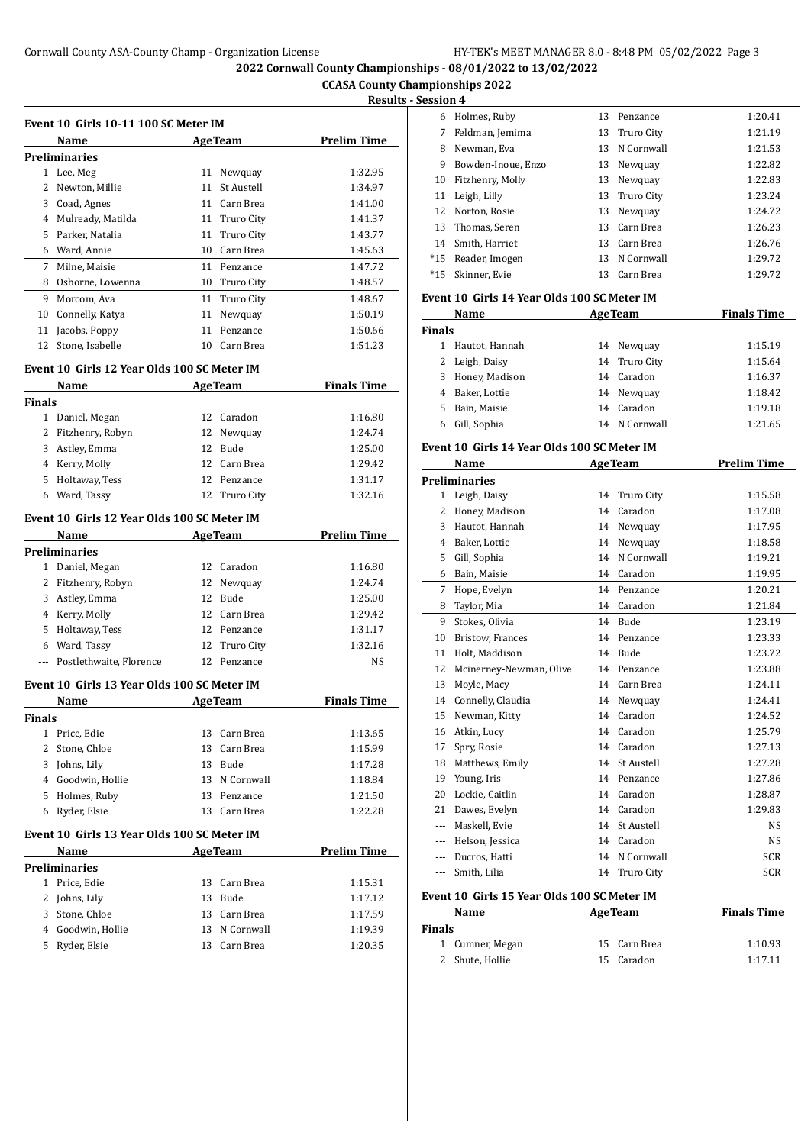#### **CCASA County Championships 2022 Results - Session 4**

| Results - Session |
|-------------------|
|                   |

| Event 10 Girls 10-11 100 SC Meter IM |                      |    |                   |                    |  |
|--------------------------------------|----------------------|----|-------------------|--------------------|--|
|                                      | Name                 |    | <b>AgeTeam</b>    | <b>Prelim Time</b> |  |
|                                      | <b>Preliminaries</b> |    |                   |                    |  |
| 1                                    | Lee, Meg             | 11 | Newquay           | 1:32.95            |  |
| 2                                    | Newton, Millie       | 11 | <b>St Austell</b> | 1:34.97            |  |
| 3                                    | Coad, Agnes          | 11 | Carn Brea         | 1:41.00            |  |
| 4                                    | Mulready, Matilda    | 11 | Truro City        | 1:41.37            |  |
| 5                                    | Parker, Natalia      | 11 | Truro City        | 1:43.77            |  |
| 6                                    | Ward, Annie          | 10 | Carn Brea         | 1:45.63            |  |
| 7                                    | Milne, Maisie        | 11 | Penzance          | 1:47.72            |  |
| 8                                    | Osborne, Lowenna     | 10 | Truro City        | 1:48.57            |  |
| 9                                    | Morcom, Ava          | 11 | Truro City        | 1:48.67            |  |
| 10                                   | Connelly, Katya      | 11 | Newquay           | 1:50.19            |  |
| 11                                   | Jacobs, Poppy        | 11 | Penzance          | 1:50.66            |  |
| 12                                   | Stone, Isabelle      | 10 | Carn Brea         | 1:51.23            |  |

#### **Event 10 Girls 12 Year Olds 100 SC Meter IM**

|               | Name                                        |    | <b>AgeTeam</b> | <b>Finals Time</b> |
|---------------|---------------------------------------------|----|----------------|--------------------|
| <b>Finals</b> |                                             |    |                |                    |
| 1             | Daniel, Megan                               | 12 | Caradon        | 1:16.80            |
| 2             | Fitzhenry, Robyn                            | 12 | Newquay        | 1:24.74            |
| 3             | Astley, Emma                                |    | 12 Bude        | 1:25.00            |
| 4             | Kerry, Molly                                | 12 | Carn Brea      | 1:29.42            |
| 5             | Holtaway, Tess                              |    | 12 Penzance    | 1:31.17            |
| 6             | Ward, Tassy                                 |    | 12 Truro City  | 1:32.16            |
|               | Event 10 Girls 12 Year Olds 100 SC Meter IM |    |                |                    |
|               | Name                                        |    | <b>AgeTeam</b> | <b>Prelim Time</b> |

|              | <b>Preliminaries</b>        |               |         |
|--------------|-----------------------------|---------------|---------|
| $\mathbf{1}$ | Daniel, Megan               | 12 Caradon    | 1:16.80 |
|              | 2 Fitzhenry, Robyn          | 12 Newquay    | 1:24.74 |
| 3            | Astley, Emma                | 12 Bude       | 1:25.00 |
|              | 4 Kerry, Molly              | 12 Carn Brea  | 1:29.42 |
|              | 5 Holtaway, Tess            | 12 Penzance   | 1:31.17 |
| 6            | Ward, Tassy                 | 12 Truro City | 1:32.16 |
|              | --- Postlethwaite, Florence | Penzance      | NS      |

#### **Event 10 Girls 13 Year Olds 100 SC Meter IM**

|        | Name                                        | AgeTeam       | <b>Finals Time</b> |
|--------|---------------------------------------------|---------------|--------------------|
| Finals |                                             |               |                    |
|        | Price, Edie                                 | 13 Carn Brea  | 1:13.65            |
|        | 2 Stone, Chloe                              | 13 Carn Brea  | 1:15.99            |
| 3      | Johns, Lily                                 | 13 Bude       | 1:17.28            |
| 4      | Goodwin, Hollie                             | 13 N Cornwall | 1:18.84            |
| 5.     | Holmes, Ruby                                | 13 Penzance   | 1:21.50            |
| 6      | Ryder, Elsie                                | 13 Carn Brea  | 1:22.28            |
|        | Event 10 Girls 13 Year Olds 100 SC Meter IM |               |                    |
|        | Name                                        | AgeTeam       | Prolim Timo        |

|    | ivalile         |     | яge геаш      | гтении гипе |
|----|-----------------|-----|---------------|-------------|
|    | Preliminaries   |     |               |             |
|    | Price, Edie     |     | 13 Carn Brea  | 1:15.31     |
|    | 2 Johns, Lily   | 13  | Bude          | 1:17.12     |
| 3. | Stone, Chloe    |     | 13 Carn Brea  | 1:17.59     |
| 4  | Goodwin, Hollie |     | 13 N Cornwall | 1:19.39     |
| 5. | Ryder, Elsie    | 13. | Carn Brea     | 1:20.35     |
|    |                 |     |               |             |

| 6.    | Holmes, Ruby       | 13 | Penzance      | 1:20.41 |
|-------|--------------------|----|---------------|---------|
| 7     | Feldman, Jemima    |    | 13 Truro City | 1:21.19 |
| 8     | Newman, Eva        | 13 | N Cornwall    | 1:21.53 |
| 9     | Bowden-Inoue, Enzo | 13 | Newquay       | 1:22.82 |
| 10    | Fitzhenry, Molly   | 13 | Newquay       | 1:22.83 |
| 11    | Leigh, Lilly       | 13 | Truro City    | 1:23.24 |
| 12    | Norton, Rosie      | 13 | Newguay       | 1:24.72 |
|       | 13 Thomas, Seren   | 13 | Carn Brea     | 1:26.23 |
| 14    | Smith, Harriet     | 13 | Carn Brea     | 1:26.76 |
| $*15$ | Reader, Imogen     | 13 | N Cornwall    | 1:29.72 |
| $*15$ | Skinner, Evie      | 13 | Carn Brea     | 1:29.72 |
|       |                    |    |               |         |

### **Event 10 Girls 14 Year Olds 100 SC Meter IM**

|               | Name                                        | <b>AgeTeam</b> |               | <b>Finals Time</b> |
|---------------|---------------------------------------------|----------------|---------------|--------------------|
| <b>Finals</b> |                                             |                |               |                    |
|               | Hautot, Hannah                              |                | 14 Newquay    | 1:15.19            |
|               | 2 Leigh, Daisy                              |                | 14 Truro City | 1:15.64            |
| 3             | Honey, Madison                              |                | 14 Caradon    | 1:16.37            |
| 4             | Baker, Lottie                               |                | 14 Newquay    | 1:18.42            |
| 5.            | Bain, Maisie                                |                | 14 Caradon    | 1:19.18            |
| 6             | Gill, Sophia                                |                | 14 N Cornwall | 1:21.65            |
|               | Event 10 Cirls 14 Vear Olds 100 SC Motor IM |                |               |                    |

## **Event 10 Girls 14 Year Olds 100 SC Meter IM**

|          | Name                                        |    | <b>AgeTeam</b>    | <b>Prelim Time</b> |  |  |
|----------|---------------------------------------------|----|-------------------|--------------------|--|--|
|          | <b>Preliminaries</b>                        |    |                   |                    |  |  |
| 1        | Leigh, Daisy                                | 14 | Truro City        | 1:15.58            |  |  |
| 2        | Honey, Madison                              | 14 | Caradon           | 1:17.08            |  |  |
| 3        | Hautot. Hannah                              | 14 | Newquay           | 1:17.95            |  |  |
| 4        | Baker. Lottie                               | 14 | Newquay           | 1:18.58            |  |  |
| 5        | Gill, Sophia                                | 14 | N Cornwall        | 1:19.21            |  |  |
| 6        | Bain, Maisie                                | 14 | Caradon           | 1:19.95            |  |  |
| 7        | Hope, Evelyn                                |    | 14 Penzance       | 1:20.21            |  |  |
| 8        | Taylor, Mia                                 | 14 | Caradon           | 1:21.84            |  |  |
| 9        | Stokes, Olivia                              | 14 | <b>Bude</b>       | 1:23.19            |  |  |
| 10       | <b>Bristow, Frances</b>                     | 14 | Penzance          | 1:23.33            |  |  |
| 11       | Holt, Maddison                              | 14 | <b>Bude</b>       | 1:23.72            |  |  |
| 12       | Mcinerney-Newman, Olive                     | 14 | Penzance          | 1:23.88            |  |  |
| 13       | Moyle, Macy                                 | 14 | Carn Brea         | 1:24.11            |  |  |
| 14       | Connelly, Claudia                           | 14 | Newquay           | 1:24.41            |  |  |
| 15       | Newman, Kitty                               | 14 | Caradon           | 1:24.52            |  |  |
| 16       | Atkin, Lucy                                 | 14 | Caradon           | 1:25.79            |  |  |
| 17       | Spry, Rosie                                 | 14 | Caradon           | 1:27.13            |  |  |
| 18       | Matthews, Emily                             | 14 | <b>St Austell</b> | 1:27.28            |  |  |
| 19       | Young, Iris                                 | 14 | Penzance          | 1:27.86            |  |  |
| 20       | Lockie, Caitlin                             | 14 | Caradon           | 1:28.87            |  |  |
| 21       | Dawes, Evelyn                               | 14 | Caradon           | 1:29.83            |  |  |
| $- - -$  | Maskell, Evie                               | 14 | <b>St Austell</b> | <b>NS</b>          |  |  |
| $\cdots$ | Helson, Jessica                             | 14 | Caradon           | <b>NS</b>          |  |  |
| ---      | Ducros, Hatti                               | 14 | N Cornwall        | <b>SCR</b>         |  |  |
| $- - -$  | Smith, Lilia                                | 14 | Truro City        | <b>SCR</b>         |  |  |
|          | Event 10 Girls 15 Year Olds 100 SC Meter IM |    |                   |                    |  |  |

| Name          |                 | <b>AgeTeam</b> | <b>Finals Time</b> |  |
|---------------|-----------------|----------------|--------------------|--|
| <b>Finals</b> |                 |                |                    |  |
|               | 1 Cumner, Megan | 15 Carn Brea   | 1:10.93            |  |
|               | 2 Shute, Hollie | 15 Caradon     | 1:17.11            |  |